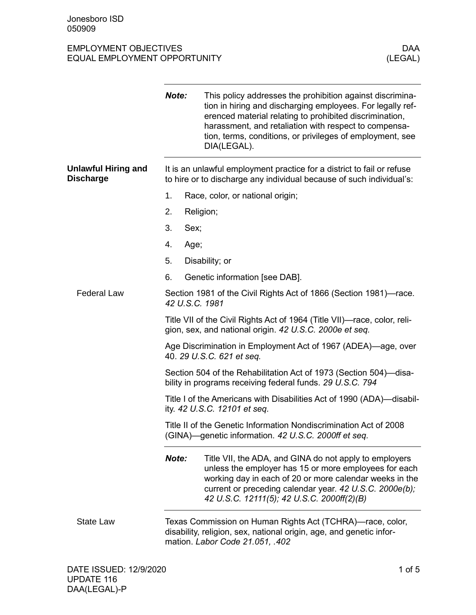## EMPLOYMENT OBJECTIVES DAA EQUAL EMPLOYMENT OPPORTUNITY

|                                                | Note:                                                                                                                               | This policy addresses the prohibition against discrimina-<br>tion in hiring and discharging employees. For legally ref-<br>erenced material relating to prohibited discrimination,<br>harassment, and retaliation with respect to compensa-<br>tion, terms, conditions, or privileges of employment, see<br>DIA(LEGAL). |  |
|------------------------------------------------|-------------------------------------------------------------------------------------------------------------------------------------|-------------------------------------------------------------------------------------------------------------------------------------------------------------------------------------------------------------------------------------------------------------------------------------------------------------------------|--|
| <b>Unlawful Hiring and</b><br><b>Discharge</b> |                                                                                                                                     | It is an unlawful employment practice for a district to fail or refuse<br>to hire or to discharge any individual because of such individual's:                                                                                                                                                                          |  |
|                                                | 1.                                                                                                                                  | Race, color, or national origin;                                                                                                                                                                                                                                                                                        |  |
|                                                | 2.                                                                                                                                  | Religion;                                                                                                                                                                                                                                                                                                               |  |
|                                                | 3.<br>Sex;                                                                                                                          |                                                                                                                                                                                                                                                                                                                         |  |
|                                                | 4.<br>Age;                                                                                                                          |                                                                                                                                                                                                                                                                                                                         |  |
|                                                | 5.                                                                                                                                  | Disability; or                                                                                                                                                                                                                                                                                                          |  |
|                                                | 6.                                                                                                                                  | Genetic information [see DAB].                                                                                                                                                                                                                                                                                          |  |
| <b>Federal Law</b>                             | 42 U.S.C. 1981                                                                                                                      | Section 1981 of the Civil Rights Act of 1866 (Section 1981)—race.                                                                                                                                                                                                                                                       |  |
|                                                | Title VII of the Civil Rights Act of 1964 (Title VII)—race, color, reli-<br>gion, sex, and national origin. 42 U.S.C. 2000e et seq. |                                                                                                                                                                                                                                                                                                                         |  |
|                                                |                                                                                                                                     | Age Discrimination in Employment Act of 1967 (ADEA)—age, over<br>40. 29 U.S.C. 621 et seq.                                                                                                                                                                                                                              |  |
|                                                |                                                                                                                                     | Section 504 of the Rehabilitation Act of 1973 (Section 504)—disa-<br>bility in programs receiving federal funds. 29 U.S.C. 794                                                                                                                                                                                          |  |
|                                                |                                                                                                                                     | Title I of the Americans with Disabilities Act of 1990 (ADA)—disabil-<br>ity. 42 U.S.C. 12101 et seq.                                                                                                                                                                                                                   |  |
|                                                |                                                                                                                                     | Title II of the Genetic Information Nondiscrimination Act of 2008<br>(GINA)—genetic information. 42 U.S.C. 2000ff et seq.                                                                                                                                                                                               |  |
|                                                | Note:                                                                                                                               | Title VII, the ADA, and GINA do not apply to employers<br>unless the employer has 15 or more employees for each<br>working day in each of 20 or more calendar weeks in the<br>current or preceding calendar year. 42 U.S.C. 2000e(b);<br>42 U.S.C. 12111(5); 42 U.S.C. 2000ff(2)(B)                                     |  |
| <b>State Law</b>                               |                                                                                                                                     | Texas Commission on Human Rights Act (TCHRA)—race, color,<br>disability, religion, sex, national origin, age, and genetic infor-<br>mation. Labor Code 21.051, .402                                                                                                                                                     |  |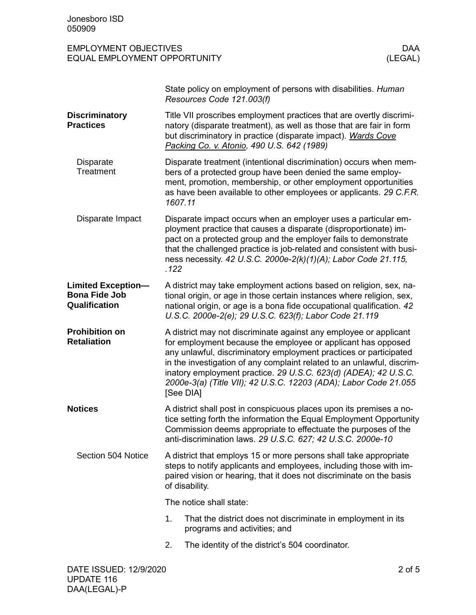| <b>EMPLOYMENT OBJECTIVES</b> | DAA     |
|------------------------------|---------|
| EQUAL EMPLOYMENT OPPORTUNITY | (LEGAL) |

|                                                                    | State policy on employment of persons with disabilities. Human<br>Resources Code 121.003(f)                                                                                                                                                                                                                                                                                                                                          |  |  |
|--------------------------------------------------------------------|--------------------------------------------------------------------------------------------------------------------------------------------------------------------------------------------------------------------------------------------------------------------------------------------------------------------------------------------------------------------------------------------------------------------------------------|--|--|
| <b>Discriminatory</b><br><b>Practices</b>                          | Title VII proscribes employment practices that are overtly discrimi-<br>natory (disparate treatment), as well as those that are fair in form<br>but discriminatory in practice (disparate impact). Wards Cove<br>Packing Co. v. Atonio, 490 U.S. 642 (1989)                                                                                                                                                                          |  |  |
| <b>Disparate</b><br>Treatment                                      | Disparate treatment (intentional discrimination) occurs when mem-<br>bers of a protected group have been denied the same employ-<br>ment, promotion, membership, or other employment opportunities<br>as have been available to other employees or applicants. 29 C.F.R.<br>1607.11                                                                                                                                                  |  |  |
| Disparate Impact                                                   | Disparate impact occurs when an employer uses a particular em-<br>ployment practice that causes a disparate (disproportionate) im-<br>pact on a protected group and the employer fails to demonstrate<br>that the challenged practice is job-related and consistent with busi-<br>ness necessity. 42 U.S.C. 2000e-2(k)(1)(A); Labor Code 21.115,<br>.122                                                                             |  |  |
| <b>Limited Exception-</b><br><b>Bona Fide Job</b><br>Qualification | A district may take employment actions based on religion, sex, na-<br>tional origin, or age in those certain instances where religion, sex,<br>national origin, or age is a bona fide occupational qualification. 42<br>U.S.C. 2000e-2(e); 29 U.S.C. 623(f); Labor Code 21.119                                                                                                                                                       |  |  |
| <b>Prohibition on</b><br><b>Retaliation</b>                        | A district may not discriminate against any employee or applicant<br>for employment because the employee or applicant has opposed<br>any unlawful, discriminatory employment practices or participated<br>in the investigation of any complaint related to an unlawful, discrim-<br>inatory employment practice. 29 U.S.C. 623(d) (ADEA); 42 U.S.C.<br>2000e-3(a) (Title VII); 42 U.S.C. 12203 (ADA); Labor Code 21.055<br>[See DIA] |  |  |
| <b>Notices</b>                                                     | A district shall post in conspicuous places upon its premises a no-<br>tice setting forth the information the Equal Employment Opportunity<br>Commission deems appropriate to effectuate the purposes of the<br>anti-discrimination laws. 29 U.S.C. 627; 42 U.S.C. 2000e-10                                                                                                                                                          |  |  |
| Section 504 Notice                                                 | A district that employs 15 or more persons shall take appropriate<br>steps to notify applicants and employees, including those with im-<br>paired vision or hearing, that it does not discriminate on the basis<br>of disability.                                                                                                                                                                                                    |  |  |
|                                                                    | The notice shall state:                                                                                                                                                                                                                                                                                                                                                                                                              |  |  |
|                                                                    | 1.<br>That the district does not discriminate in employment in its<br>programs and activities; and                                                                                                                                                                                                                                                                                                                                   |  |  |
|                                                                    | The identity of the district's 504 coordinator.<br>2.                                                                                                                                                                                                                                                                                                                                                                                |  |  |
|                                                                    |                                                                                                                                                                                                                                                                                                                                                                                                                                      |  |  |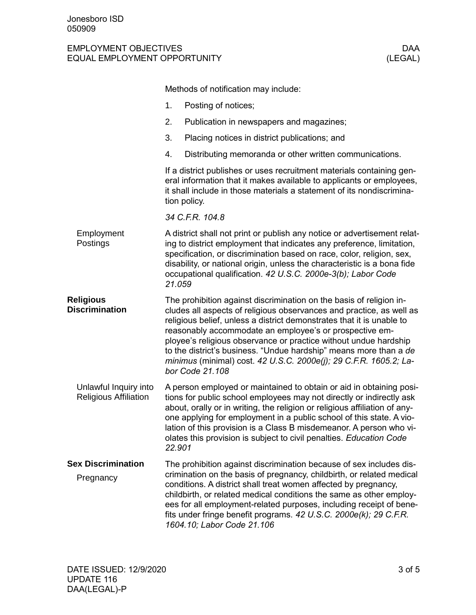## EMPLOYMENT OBJECTIVES DAA EQUAL EMPLOYMENT OPPORTUNITY

|                                                       | Methods of notification may include:                                                                                                                                                                                                                                                                                                                                                                                                                                                                             |                                                                                                                                                                                                                                                                                                                                                                                                                                                 |  |
|-------------------------------------------------------|------------------------------------------------------------------------------------------------------------------------------------------------------------------------------------------------------------------------------------------------------------------------------------------------------------------------------------------------------------------------------------------------------------------------------------------------------------------------------------------------------------------|-------------------------------------------------------------------------------------------------------------------------------------------------------------------------------------------------------------------------------------------------------------------------------------------------------------------------------------------------------------------------------------------------------------------------------------------------|--|
|                                                       | 1.                                                                                                                                                                                                                                                                                                                                                                                                                                                                                                               | Posting of notices;                                                                                                                                                                                                                                                                                                                                                                                                                             |  |
|                                                       | 2.                                                                                                                                                                                                                                                                                                                                                                                                                                                                                                               | Publication in newspapers and magazines;                                                                                                                                                                                                                                                                                                                                                                                                        |  |
|                                                       | 3.                                                                                                                                                                                                                                                                                                                                                                                                                                                                                                               | Placing notices in district publications; and                                                                                                                                                                                                                                                                                                                                                                                                   |  |
|                                                       | 4.                                                                                                                                                                                                                                                                                                                                                                                                                                                                                                               | Distributing memoranda or other written communications.                                                                                                                                                                                                                                                                                                                                                                                         |  |
|                                                       |                                                                                                                                                                                                                                                                                                                                                                                                                                                                                                                  | If a district publishes or uses recruitment materials containing gen-<br>eral information that it makes available to applicants or employees,<br>it shall include in those materials a statement of its nondiscrimina-<br>tion policy.                                                                                                                                                                                                          |  |
|                                                       |                                                                                                                                                                                                                                                                                                                                                                                                                                                                                                                  | 34 C.F.R. 104.8                                                                                                                                                                                                                                                                                                                                                                                                                                 |  |
| Employment<br>Postings                                | A district shall not print or publish any notice or advertisement relat-<br>ing to district employment that indicates any preference, limitation,<br>specification, or discrimination based on race, color, religion, sex,<br>disability, or national origin, unless the characteristic is a bona fide<br>occupational qualification. 42 U.S.C. 2000e-3(b); Labor Code<br>21.059                                                                                                                                 |                                                                                                                                                                                                                                                                                                                                                                                                                                                 |  |
| <b>Religious</b><br><b>Discrimination</b>             | The prohibition against discrimination on the basis of religion in-<br>cludes all aspects of religious observances and practice, as well as<br>religious belief, unless a district demonstrates that it is unable to<br>reasonably accommodate an employee's or prospective em-<br>ployee's religious observance or practice without undue hardship<br>to the district's business. "Undue hardship" means more than a de<br>minimus (minimal) cost. 42 U.S.C. 2000e(j); 29 C.F.R. 1605.2; La-<br>bor Code 21.108 |                                                                                                                                                                                                                                                                                                                                                                                                                                                 |  |
| Unlawful Inquiry into<br><b>Religious Affiliation</b> | 22.901                                                                                                                                                                                                                                                                                                                                                                                                                                                                                                           | A person employed or maintained to obtain or aid in obtaining posi-<br>tions for public school employees may not directly or indirectly ask<br>about, orally or in writing, the religion or religious affiliation of any-<br>one applying for employment in a public school of this state. A vio-<br>lation of this provision is a Class B misdemeanor. A person who vi-<br>olates this provision is subject to civil penalties. Education Code |  |
| <b>Sex Discrimination</b>                             |                                                                                                                                                                                                                                                                                                                                                                                                                                                                                                                  | The prohibition against discrimination because of sex includes dis-                                                                                                                                                                                                                                                                                                                                                                             |  |
| Pregnancy                                             |                                                                                                                                                                                                                                                                                                                                                                                                                                                                                                                  | crimination on the basis of pregnancy, childbirth, or related medical<br>conditions. A district shall treat women affected by pregnancy,<br>childbirth, or related medical conditions the same as other employ-<br>ees for all employment-related purposes, including receipt of bene-<br>fits under fringe benefit programs. 42 U.S.C. 2000e(k); 29 C.F.R.<br>1604.10; Labor Code 21.106                                                       |  |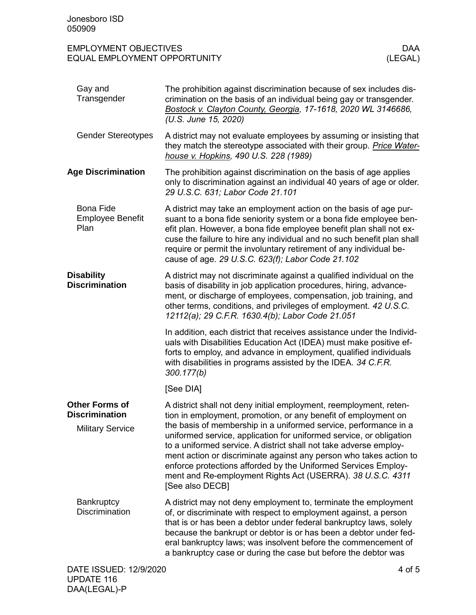## EMPLOYMENT OBJECTIVES DAA EQUAL EMPLOYMENT OPPORTUNITY

| Gay and<br>Transgender                              | The prohibition against discrimination because of sex includes dis-<br>crimination on the basis of an individual being gay or transgender.<br>Bostock v. Clayton County, Georgia, 17-1618, 2020 WL 3146686,<br>(U.S. June 15, 2020)                                                                                                                                                                                                   |
|-----------------------------------------------------|---------------------------------------------------------------------------------------------------------------------------------------------------------------------------------------------------------------------------------------------------------------------------------------------------------------------------------------------------------------------------------------------------------------------------------------|
| <b>Gender Stereotypes</b>                           | A district may not evaluate employees by assuming or insisting that<br>they match the stereotype associated with their group. Price Water-<br>house v. Hopkins, 490 U.S. 228 (1989)                                                                                                                                                                                                                                                   |
| <b>Age Discrimination</b>                           | The prohibition against discrimination on the basis of age applies<br>only to discrimination against an individual 40 years of age or older.<br>29 U.S.C. 631; Labor Code 21.101                                                                                                                                                                                                                                                      |
| <b>Bona Fide</b><br><b>Employee Benefit</b><br>Plan | A district may take an employment action on the basis of age pur-<br>suant to a bona fide seniority system or a bona fide employee ben-<br>efit plan. However, a bona fide employee benefit plan shall not ex-<br>cuse the failure to hire any individual and no such benefit plan shall<br>require or permit the involuntary retirement of any individual be-<br>cause of age. 29 U.S.C. 623(f); Labor Code 21.102                   |
| <b>Disability</b><br><b>Discrimination</b>          | A district may not discriminate against a qualified individual on the<br>basis of disability in job application procedures, hiring, advance-<br>ment, or discharge of employees, compensation, job training, and<br>other terms, conditions, and privileges of employment. 42 U.S.C.<br>12112(a); 29 C.F.R. 1630.4(b); Labor Code 21.051                                                                                              |
|                                                     | In addition, each district that receives assistance under the Individ-<br>uals with Disabilities Education Act (IDEA) must make positive ef-<br>forts to employ, and advance in employment, qualified individuals<br>with disabilities in programs assisted by the IDEA. 34 C.F.R.<br>300.177(b)                                                                                                                                      |
|                                                     | [See DIA]                                                                                                                                                                                                                                                                                                                                                                                                                             |
| <b>Other Forms of</b><br><b>Discrimination</b>      | A district shall not deny initial employment, reemployment, reten-<br>tion in employment, promotion, or any benefit of employment on                                                                                                                                                                                                                                                                                                  |
| <b>Military Service</b>                             | the basis of membership in a uniformed service, performance in a<br>uniformed service, application for uniformed service, or obligation<br>to a uniformed service. A district shall not take adverse employ-<br>ment action or discriminate against any person who takes action to<br>enforce protections afforded by the Uniformed Services Employ-<br>ment and Re-employment Rights Act (USERRA). 38 U.S.C. 4311<br>[See also DECB] |
| Bankruptcy<br><b>Discrimination</b>                 | A district may not deny employment to, terminate the employment<br>of, or discriminate with respect to employment against, a person<br>that is or has been a debtor under federal bankruptcy laws, solely<br>because the bankrupt or debtor is or has been a debtor under fed-<br>eral bankruptcy laws; was insolvent before the commencement of<br>a bankruptcy case or during the case but before the debtor was                    |